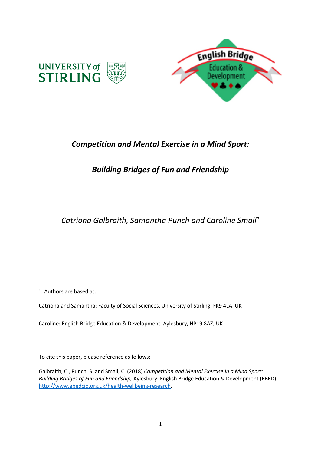

# *Competition and Mental Exercise in a Mind Sport:*

# *Building Bridges of Fun and Friendship*

*Catriona Galbraith, Samantha Punch and Caroline Small<sup>1</sup>*

1 Authors are based at:

**.** 

Catriona and Samantha: Faculty of Social Sciences, University of Stirling, FK9 4LA, UK

Caroline: English Bridge Education & Development, Aylesbury, HP19 8AZ, UK

To cite this paper, please reference as follows:

Galbraith, C., Punch, S. and Small, C. (2018) *Competition and Mental Exercise in a Mind Sport: Building Bridges of Fun and Friendship,* Aylesbury: English Bridge Education & Development (EBED), [http://www.ebedcio.org.uk/health-wellbeing-research.](http://www.ebedcio.org.uk/health-wellbeing-research)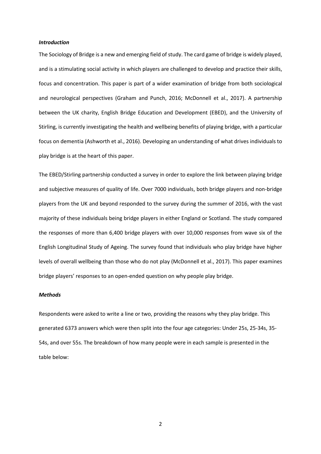#### *Introduction*

The Sociology of Bridge is a new and emerging field of study. The card game of bridge is widely played, and is a stimulating social activity in which players are challenged to develop and practice their skills, focus and concentration. This paper is part of a wider examination of bridge from both sociological and neurological perspectives (Graham and Punch, 2016; McDonnell et al., 2017). A partnership between the UK charity, English Bridge Education and Development (EBED), and the University of Stirling, is currently investigating the health and wellbeing benefits of playing bridge, with a particular focus on dementia (Ashworth et al., 2016). Developing an understanding of what drives individuals to play bridge is at the heart of this paper.

The EBED/Stirling partnership conducted a survey in order to explore the link between playing bridge and subjective measures of quality of life. Over 7000 individuals, both bridge players and non-bridge players from the UK and beyond responded to the survey during the summer of 2016, with the vast majority of these individuals being bridge players in either England or Scotland. The study compared the responses of more than 6,400 bridge players with over 10,000 responses from wave six of the English Longitudinal Study of Ageing. The survey found that individuals who play bridge have higher levels of overall wellbeing than those who do not play (McDonnell et al., 2017). This paper examines bridge players' responses to an open-ended question on why people play bridge.

### *Methods*

Respondents were asked to write a line or two, providing the reasons why they play bridge. This generated 6373 answers which were then split into the four age categories: Under 25s, 25-34s, 35- 54s, and over 55s. The breakdown of how many people were in each sample is presented in the table below:

2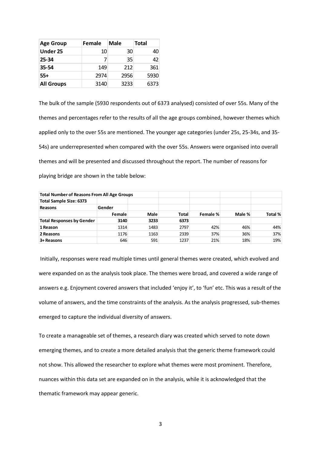| <b>Age Group</b>  | Female | Male | <b>Total</b> |
|-------------------|--------|------|--------------|
| Under 25          | 10     | 30   | 40           |
| $25 - 34$         | 7      | 35   | 42           |
| $35 - 54$         | 149    | 212  | 361          |
| $55+$             | 2974   | 2956 | 5930         |
| <b>All Groups</b> | 3140   | 3233 | 6373         |

The bulk of the sample (5930 respondents out of 6373 analysed) consisted of over 55s. Many of the themes and percentages refer to the results of all the age groups combined, however themes which applied only to the over 55s are mentioned. The younger age categories (under 25s, 25-34s, and 35- 54s) are underrepresented when compared with the over 55s. Answers were organised into overall themes and will be presented and discussed throughout the report. The number of reasons for playing bridge are shown in the table below:

| <b>Total Number of Reasons From All Age Groups</b> |        |             |              |          |        |         |
|----------------------------------------------------|--------|-------------|--------------|----------|--------|---------|
| <b>Total Sample Size: 6373</b>                     |        |             |              |          |        |         |
| Reasons                                            | Gender |             |              |          |        |         |
|                                                    | Female | <b>Male</b> | <b>Total</b> | Female % | Male % | Total % |
| <b>Total Responses by Gender</b>                   | 3140   | 3233        | 6373         |          |        |         |
| 1 Reason                                           | 1314   | 1483        | 2797         | 42%      | 46%    | 44%     |
| 2 Reasons                                          | 1176   | 1163        | 2339         | 37%      | 36%    | 37%     |
| 3+ Reasons                                         | 646    | 591         | 1237         | 21%      | 18%    | 19%     |

Initially, responses were read multiple times until general themes were created, which evolved and were expanded on as the analysis took place. The themes were broad, and covered a wide range of answers e.g. Enjoyment covered answers that included 'enjoy it', to 'fun' etc. This was a result of the volume of answers, and the time constraints of the analysis. As the analysis progressed, sub-themes emerged to capture the individual diversity of answers.

To create a manageable set of themes, a research diary was created which served to note down emerging themes, and to create a more detailed analysis that the generic theme framework could not show. This allowed the researcher to explore what themes were most prominent. Therefore, nuances within this data set are expanded on in the analysis, while it is acknowledged that the thematic framework may appear generic.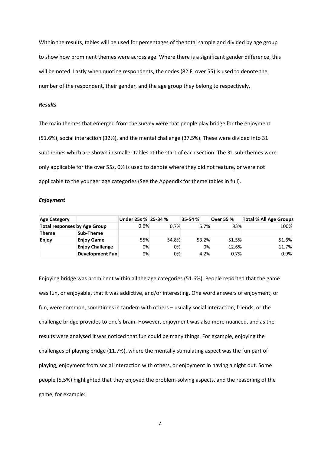Within the results, tables will be used for percentages of the total sample and divided by age group to show how prominent themes were across age. Where there is a significant gender difference, this will be noted. Lastly when quoting respondents, the codes (82 F, over 55) is used to denote the number of the respondent, their gender, and the age group they belong to respectively.

### *Results*

The main themes that emerged from the survey were that people play bridge for the enjoyment (51.6%), social interaction (32%), and the mental challenge (37.5%). These were divided into 31 subthemes which are shown in smaller tables at the start of each section. The 31 sub-themes were only applicable for the over 55s, 0% is used to denote where they did not feature, or were not applicable to the younger age categories (See the Appendix for theme tables in full).

#### *Enjoyment*

| <b>Age Category</b>                 |                        | Under 25s % 25-34 % |         | 35-54% | <b>Over 55 %</b> | Total % All Age Group\$ |
|-------------------------------------|------------------------|---------------------|---------|--------|------------------|-------------------------|
| <b>Total responses by Age Group</b> |                        | $0.6\%$             | $0.7\%$ | 5.7%   | 93%              | 100%                    |
| <b>Theme</b>                        | Sub-Theme              |                     |         |        |                  |                         |
| Enjoy                               | <b>Enjoy Game</b>      | 55%                 | 54.8%   | 53.2%  | 51.5%            | 51.6%                   |
|                                     | <b>Enjoy Challenge</b> | 0%                  | 0%      | 0%     | 12.6%            | 11.7%                   |
|                                     | Development Fun        | 0%                  | 0%      | 4.2%   | 0.7%             | 0.9%                    |

Enjoying bridge was prominent within all the age categories (51.6%). People reported that the game was fun, or enjoyable, that it was addictive, and/or interesting. One word answers of enjoyment, or fun, were common, sometimes in tandem with others – usually social interaction, friends, or the challenge bridge provides to one's brain. However, enjoyment was also more nuanced, and as the results were analysed it was noticed that fun could be many things. For example, enjoying the challenges of playing bridge (11.7%), where the mentally stimulating aspect was the fun part of playing, enjoyment from social interaction with others, or enjoyment in having a night out. Some people (5.5%) highlighted that they enjoyed the problem-solving aspects, and the reasoning of the game, for example:

4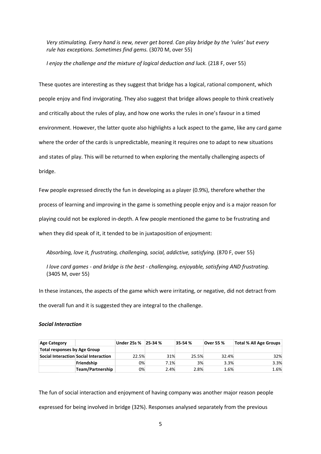*Very stimulating. Every hand is new, never get bored. Can play bridge by the 'rules' but every rule has exceptions. Sometimes find gems.* (3070 M, over 55)

*I enjoy the challenge and the mixture of logical deduction and luck.* (218 F, over 55)

These quotes are interesting as they suggest that bridge has a logical, rational component, which people enjoy and find invigorating. They also suggest that bridge allows people to think creatively and critically about the rules of play, and how one works the rules in one's favour in a timed environment. However, the latter quote also highlights a luck aspect to the game, like any card game where the order of the cards is unpredictable, meaning it requires one to adapt to new situations and states of play. This will be returned to when exploring the mentally challenging aspects of bridge.

Few people expressed directly the fun in developing as a player (0.9%), therefore whether the process of learning and improving in the game is something people enjoy and is a major reason for playing could not be explored in-depth. A few people mentioned the game to be frustrating and when they did speak of it, it tended to be in juxtaposition of enjoyment:

*Absorbing, love it, frustrating, challenging, social, addictive, satisfying.* (870 F, over 55)

*I love card games - and bridge is the best - challenging, enjoyable, satisfying AND frustrating.*  (3405 M, over 55)

In these instances, the aspects of the game which were irritating, or negative, did not detract from the overall fun and it is suggested they are integral to the challenge.

#### *Social Interaction*

| <b>Age Category</b>                   |                  | Under 25s % | 25-34 % | 35-54% | <b>Over 55 %</b> | Total % All Age Groups |
|---------------------------------------|------------------|-------------|---------|--------|------------------|------------------------|
| <b>Total responses by Age Group</b>   |                  |             |         |        |                  |                        |
| Social Interaction Social Interaction |                  | 22.5%       | 31%     | 25.5%  | 32.4%            | 32%                    |
|                                       | Friendship       | 0%          | 7.1%    | 3%     | 3.3%             | 3.3%                   |
|                                       | Team/Partnership | 0%          | 2.4%    | 2.8%   | 1.6%             | 1.6%                   |

The fun of social interaction and enjoyment of having company was another major reason people expressed for being involved in bridge (32%). Responses analysed separately from the previous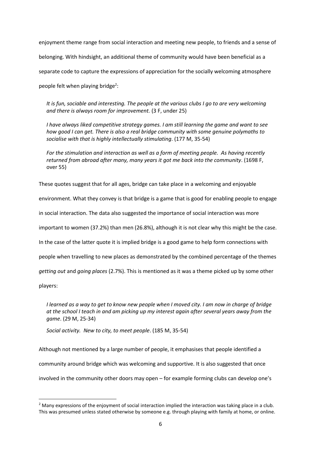enjoyment theme range from social interaction and meeting new people, to friends and a sense of belonging. With hindsight, an additional theme of community would have been beneficial as a separate code to capture the expressions of appreciation for the socially welcoming atmosphere people felt when playing bridge<sup>2</sup>:

*It is fun, sociable and interesting. The people at the various clubs I go to are very welcoming and there is always room for improvement.* (3 F, under 25)

*I have always liked competitive strategy games. I am still learning the game and want to see how good I can get. There is also a real bridge community with some genuine polymaths to socialise with that is highly intellectually stimulating*. (177 M, 35-54)

*For the stimulation and interaction as well as a form of meeting people. As having recently returned from abroad after many, many years it got me back into the community*. (1698 F, over 55)

These quotes suggest that for all ages, bridge can take place in a welcoming and enjoyable

environment. What they convey is that bridge is a game that is good for enabling people to engage

in social interaction. The data also suggested the importance of social interaction was more

important to women (37.2%) than men (26.8%), although it is not clear why this might be the case.

In the case of the latter quote it is implied bridge is a good game to help form connections with

people when travelling to new places as demonstrated by the combined percentage of the themes

*getting out* and *going places* (2.7%). This is mentioned as it was a theme picked up by some other

players:

**.** 

*I learned as a way to get to know new people when I moved city. I am now in charge of bridge at the school I teach in and am picking up my interest again after several years away from the game*. (29 M, 25-34)

*Social activity. New to city, to meet people*. (185 M, 35-54)

Although not mentioned by a large number of people, it emphasises that people identified a community around bridge which was welcoming and supportive. It is also suggested that once involved in the community other doors may open – for example forming clubs can develop one's

 $<sup>2</sup>$  Many expressions of the enjoyment of social interaction implied the interaction was taking place in a club.</sup> This was presumed unless stated otherwise by someone e.g. through playing with family at home, or online.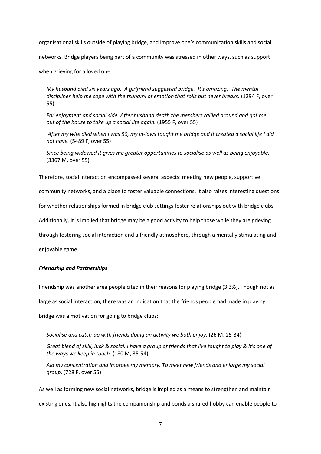organisational skills outside of playing bridge, and improve one's communication skills and social

networks. Bridge players being part of a community was stressed in other ways, such as support

when grieving for a loved one:

*My husband died six years ago. A girlfriend suggested bridge. It's amazing! The mental disciplines help me cope with the tsunami of emotion that rolls but never breaks.* (1294 F, over 55)

*For enjoyment and social side. After husband death the members rallied around and got me out of the house to take up a social life again.* (1955 F, over 55)

*After my wife died when I was 50, my in-laws taught me bridge and it created a social life I did not have.* (5489 F, over 55)

*Since being widowed it gives me greater opportunities to socialise as well as being enjoyable.* (3367 M, over 55)

Therefore, social interaction encompassed several aspects: meeting new people, supportive

community networks, and a place to foster valuable connections. It also raises interesting questions

for whether relationships formed in bridge club settings foster relationships out with bridge clubs.

Additionally, it is implied that bridge may be a good activity to help those while they are grieving

through fostering social interaction and a friendly atmosphere, through a mentally stimulating and

enjoyable game.

### *Friendship and Partnerships*

Friendship was another area people cited in their reasons for playing bridge (3.3%). Though not as large as social interaction, there was an indication that the friends people had made in playing bridge was a motivation for going to bridge clubs:

*Socialise and catch-up with friends doing an activity we both enjoy*. (26 M, 25-34)

*Great blend of skill, luck & social. I have a group of friends that I've taught to play & it's one of the ways we keep in touch.* (180 M, 35-54)

*Aid my concentration and improve my memory. To meet new friends and enlarge my social group*. (728 F, over 55)

As well as forming new social networks, bridge is implied as a means to strengthen and maintain existing ones. It also highlights the companionship and bonds a shared hobby can enable people to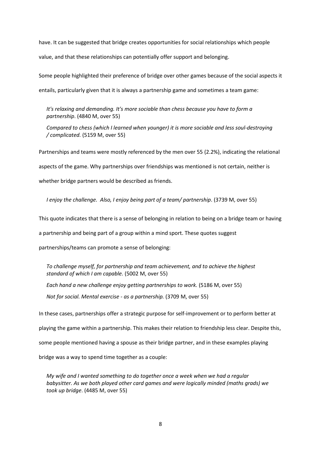have. It can be suggested that bridge creates opportunities for social relationships which people value, and that these relationships can potentially offer support and belonging.

Some people highlighted their preference of bridge over other games because of the social aspects it entails, particularly given that it is always a partnership game and sometimes a team game:

*It's relaxing and demanding. It's more sociable than chess because you have to form a partnership*. (4840 M, over 55)

*Compared to chess (which I learned when younger) it is more sociable and less soul-destroying / complicated.* (5159 M, over 55)

Partnerships and teams were mostly referenced by the men over 55 (2.2%), indicating the relational aspects of the game. Why partnerships over friendships was mentioned is not certain, neither is whether bridge partners would be described as friends.

*I enjoy the challenge. Also, I enjoy being part of a team/ partnership.* (3739 M, over 55)

This quote indicates that there is a sense of belonging in relation to being on a bridge team or having

a partnership and being part of a group within a mind sport. These quotes suggest

partnerships/teams can promote a sense of belonging:

*To challenge myself, for partnership and team achievement, and to achieve the highest standard of which I am capable.* (5002 M, over 55)

*Each hand a new challenge enjoy getting partnerships to work.* (5186 M, over 55) *Not for social. Mental exercise - as a partnership.* (3709 M, over 55)

In these cases, partnerships offer a strategic purpose for self-improvement or to perform better at playing the game within a partnership. This makes their relation to friendship less clear. Despite this, some people mentioned having a spouse as their bridge partner, and in these examples playing bridge was a way to spend time together as a couple:

*My wife and I wanted something to do together once a week when we had a regular babysitter. As we both played other card games and were logically minded (maths grads) we took up bridge*. (4485 M, over 55)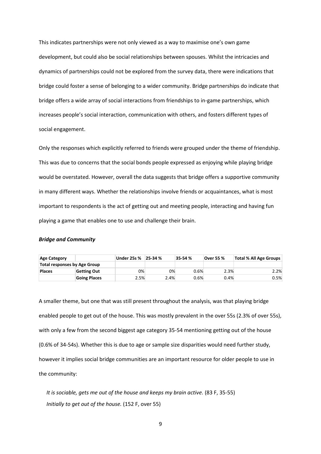This indicates partnerships were not only viewed as a way to maximise one's own game development, but could also be social relationships between spouses. Whilst the intricacies and dynamics of partnerships could not be explored from the survey data, there were indications that bridge could foster a sense of belonging to a wider community. Bridge partnerships do indicate that bridge offers a wide array of social interactions from friendships to in-game partnerships, which increases people's social interaction, communication with others, and fosters different types of social engagement.

Only the responses which explicitly referred to friends were grouped under the theme of friendship. This was due to concerns that the social bonds people expressed as enjoying while playing bridge would be overstated. However, overall the data suggests that bridge offers a supportive community in many different ways. Whether the relationships involve friends or acquaintances, what is most important to respondents is the act of getting out and meeting people, interacting and having fun playing a game that enables one to use and challenge their brain.

#### *Bridge and Community*

| Age Category                 |                     | Under 25s % | 25-34 % | 35-54% | <b>Over 55 %</b> | Total % All Age Groups |
|------------------------------|---------------------|-------------|---------|--------|------------------|------------------------|
| Total responses by Age Group |                     |             |         |        |                  |                        |
| <b>Places</b>                | Getting Out         | 0%          | 0%      | 0.6%   | 2.3%             | 2.2%                   |
|                              | <b>Going Places</b> | 2.5%        | 2.4%    | 0.6%   | 0.4%             | $0.5\%$                |

A smaller theme, but one that was still present throughout the analysis, was that playing bridge enabled people to get out of the house. This was mostly prevalent in the over 55s (2.3% of over 55s), with only a few from the second biggest age category 35-54 mentioning getting out of the house (0.6% of 34-54s). Whether this is due to age or sample size disparities would need further study, however it implies social bridge communities are an important resource for older people to use in the community:

*It is sociable, gets me out of the house and keeps my brain active.* (83 F, 35-55) *Initially to get out of the house.* (152 F, over 55)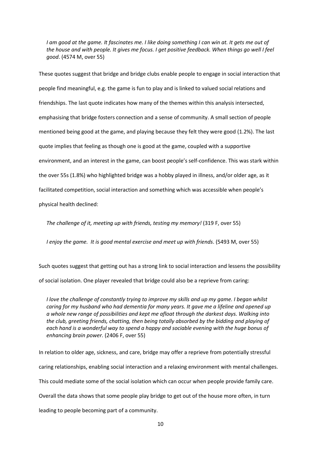*I am good at the game. It fascinates me. I like doing something I can win at. It gets me out of the house and with people. It gives me focus. I get positive feedback. When things go well I feel good*. (4574 M, over 55)

These quotes suggest that bridge and bridge clubs enable people to engage in social interaction that people find meaningful, e.g. the game is fun to play and is linked to valued social relations and friendships. The last quote indicates how many of the themes within this analysis intersected, emphasising that bridge fosters connection and a sense of community. A small section of people mentioned being good at the game, and playing because they felt they were good (1.2%). The last quote implies that feeling as though one is good at the game, coupled with a supportive environment, and an interest in the game, can boost people's self-confidence. This was stark within the over 55s (1.8%) who highlighted bridge was a hobby played in illness, and/or older age, as it facilitated competition, social interaction and something which was accessible when people's physical health declined:

*The challenge of it, meeting up with friends, testing my memory!* (319 F, over 55)

*I enjoy the game. It is good mental exercise and meet up with friends*. (5493 M, over 55)

Such quotes suggest that getting out has a strong link to social interaction and lessens the possibility of social isolation. One player revealed that bridge could also be a reprieve from caring:

*I love the challenge of constantly trying to improve my skills and up my game. I began whilst caring for my husband who had dementia for many years. It gave me a lifeline and opened up a whole new range of possibilities and kept me afloat through the darkest days. Walking into the club, greeting friends, chatting, then being totally absorbed by the bidding and playing of each hand is a wonderful way to spend a happy and sociable evening with the huge bonus of enhancing brain power.* (2406 F, over 55)

In relation to older age, sickness, and care, bridge may offer a reprieve from potentially stressful caring relationships, enabling social interaction and a relaxing environment with mental challenges. This could mediate some of the social isolation which can occur when people provide family care. Overall the data shows that some people play bridge to get out of the house more often, in turn leading to people becoming part of a community.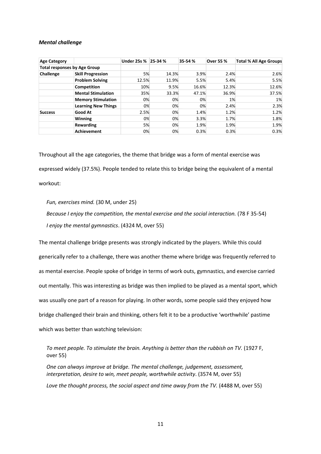#### *Mental challenge*

| <b>Age Category</b>                 |                            | Under 25s % 25-34 % |       | 35-54% | <b>Over 55 %</b> | Total % All Age Groups |
|-------------------------------------|----------------------------|---------------------|-------|--------|------------------|------------------------|
| <b>Total responses by Age Group</b> |                            |                     |       |        |                  |                        |
| Challenge                           | <b>Skill Progression</b>   | 5%                  | 14.3% | 3.9%   | 2.4%             | 2.6%                   |
|                                     | <b>Problem Solving</b>     | 12.5%               | 11.9% | 5.5%   | 5.4%             | 5.5%                   |
|                                     | <b>Competition</b>         | 10%                 | 9.5%  | 16.6%  | 12.3%            | 12.6%                  |
|                                     | <b>Mental Stimulation</b>  | 35%                 | 33.3% | 47.1%  | 36.9%            | 37.5%                  |
|                                     | <b>Memory Stimulation</b>  | 0%                  | 0%    | 0%     | 1%               | 1%                     |
|                                     | <b>Learning New Things</b> | 0%                  | 0%    | 0%     | 2.4%             | 2.3%                   |
| <b>Success</b>                      | <b>Good At</b>             | 2.5%                | 0%    | 1.4%   | 1.2%             | 1.2%                   |
|                                     | <b>Winning</b>             | 0%                  | 0%    | 3.3%   | 1.7%             | 1.8%                   |
|                                     | Rewarding                  | 5%                  | 0%    | 1.9%   | 1.9%             | 1.9%                   |
|                                     | <b>Achievement</b>         | 0%                  | 0%    | 0.3%   | 0.3%             | 0.3%                   |

Throughout all the age categories, the theme that bridge was a form of mental exercise was expressed widely (37.5%). People tended to relate this to bridge being the equivalent of a mental workout:

*Fun, exercises mind.* (30 M, under 25)

*Because I enjoy the competition, the mental exercise and the social interaction.* (78 F 35-54) *I enjoy the mental gymnastics*. (4324 M, over 55)

The mental challenge bridge presents was strongly indicated by the players. While this could generically refer to a challenge, there was another theme where bridge was frequently referred to as mental exercise. People spoke of bridge in terms of work outs, gymnastics, and exercise carried out mentally. This was interesting as bridge was then implied to be played as a mental sport, which was usually one part of a reason for playing. In other words, some people said they enjoyed how bridge challenged their brain and thinking, others felt it to be a productive 'worthwhile' pastime which was better than watching television:

*To meet people. To stimulate the brain. Anything is better than the rubbish on TV.* (1927 F, over 55)

*One can always improve at bridge. The mental challenge, judgement, assessment, interpretation, desire to win, meet people, worthwhile activity*. (3574 M, over 55) *Love the thought process, the social aspect and time away from the TV.* (4488 M, over 55)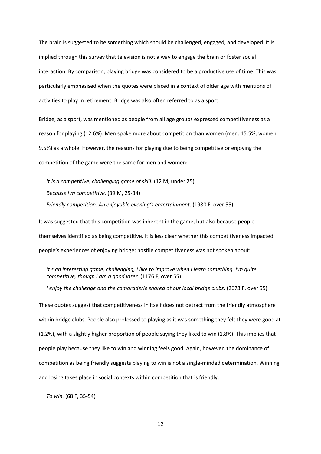The brain is suggested to be something which should be challenged, engaged, and developed. It is implied through this survey that television is not a way to engage the brain or foster social interaction. By comparison, playing bridge was considered to be a productive use of time. This was particularly emphasised when the quotes were placed in a context of older age with mentions of activities to play in retirement. Bridge was also often referred to as a sport.

Bridge, as a sport, was mentioned as people from all age groups expressed competitiveness as a reason for playing (12.6%). Men spoke more about competition than women (men: 15.5%, women: 9.5%) as a whole. However, the reasons for playing due to being competitive or enjoying the competition of the game were the same for men and women:

*It is a competitive, challenging game of skill.* (12 M, under 25) *Because I'm competitive.* (39 M, 25-34) *Friendly competition. An enjoyable evening's entertainment*. (1980 F, over 55)

It was suggested that this competition was inherent in the game, but also because people themselves identified as being competitive. It is less clear whether this competitiveness impacted people's experiences of enjoying bridge; hostile competitiveness was not spoken about:

*It's an interesting game, challenging, I like to improve when I learn something. I'm quite competitive, though I am a good loser.* (1176 F, over 55)

*I enjoy the challenge and the camaraderie shared at our local bridge clubs*. (2673 F, over 55)

These quotes suggest that competitiveness in itself does not detract from the friendly atmosphere within bridge clubs. People also professed to playing as it was something they felt they were good at (1.2%), with a slightly higher proportion of people saying they liked to win (1.8%). This implies that people play because they like to win and winning feels good. Again, however, the dominance of competition as being friendly suggests playing to win is not a single-minded determination. Winning and losing takes place in social contexts within competition that is friendly:

*To win.* (68 F, 35-54)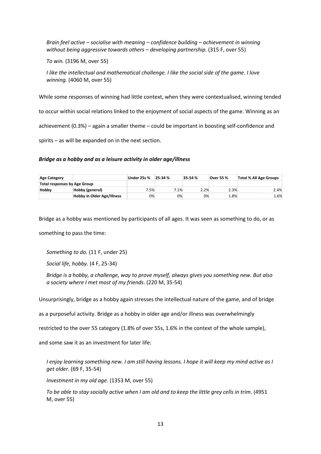*Brain feel active – socialise with meaning – confidence building – achievement in winning without being aggressive towards others – developing partnership.* (315 F, over 55)

*To win.* (3196 M, over 55)

*I like the intellectual and mathematical challenge. I like the social side of the game. I love winning.* (4060 M, over 55)

While some responses of winning had little context, when they were contextualised, winning tended

to occur within social relations linked to the enjoyment of social aspects of the game. Winning as an

achievement (0.3%) – again a smaller theme – could be important in boosting self-confidence and

spirits – as will be expanded on in the next section.

### *Bridge as a hobby and as a leisure activity in older age/illness*

| Age Category                 |                                   | <b>Under 25s %</b> | 25-34% | 35-54% | Over 55 % | <b>Total % All Age Groups</b> |
|------------------------------|-----------------------------------|--------------------|--------|--------|-----------|-------------------------------|
| Total responses by Age Group |                                   |                    |        |        |           |                               |
| Hobby                        | Hobby (general)                   | 7.5%               | $.1\%$ | 2.2%   | 2.3%      | 2.4%                          |
|                              | <b>Hobby in Older Age/Illness</b> | 0%                 | 0%     | 0%     | 8%        | 1.6%                          |

Bridge as a hobby was mentioned by participants of all ages. It was seen as something to do, or as

something to pass the time:

*Something to do.* (11 F, under 25)

*Social life, hobby*. (4 F, 25-34)

*Bridge is a hobby, a challenge, way to prove myself, always gives you something new. But also a society where I met most of my friends*. (220 M, 35-54)

Unsurprisingly, bridge as a hobby again stresses the intellectual nature of the game, and of bridge

as a purposeful activity. Bridge as a hobby in older age and/or illness was overwhelmingly

restricted to the over 55 category (1.8% of over 55s, 1.6% in the context of the whole sample),

and some saw it as an investment for later life:

*I enjoy learning something new. I am still having lessons. I hope it will keep my mind active as I get older*. (69 F, 35-54)

*Investment in my old age.* (1353 M, over 55)

*To be able to stay socially active when I am old and to keep the little grey cells in trim*. (4951 M, over 55)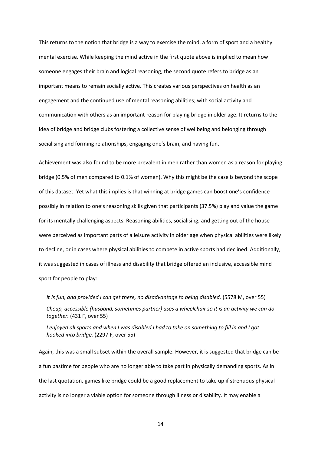This returns to the notion that bridge is a way to exercise the mind, a form of sport and a healthy mental exercise. While keeping the mind active in the first quote above is implied to mean how someone engages their brain and logical reasoning, the second quote refers to bridge as an important means to remain socially active. This creates various perspectives on health as an engagement and the continued use of mental reasoning abilities; with social activity and communication with others as an important reason for playing bridge in older age. It returns to the idea of bridge and bridge clubs fostering a collective sense of wellbeing and belonging through socialising and forming relationships, engaging one's brain, and having fun.

Achievement was also found to be more prevalent in men rather than women as a reason for playing bridge (0.5% of men compared to 0.1% of women). Why this might be the case is beyond the scope of this dataset. Yet what this implies is that winning at bridge games can boost one's confidence possibly in relation to one's reasoning skills given that participants (37.5%) play and value the game for its mentally challenging aspects. Reasoning abilities, socialising, and getting out of the house were perceived as important parts of a leisure activity in older age when physical abilities were likely to decline, or in cases where physical abilities to compete in active sports had declined. Additionally, it was suggested in cases of illness and disability that bridge offered an inclusive, accessible mind sport for people to play:

*It is fun, and provided I can get there, no disadvantage to being disabled.* (5578 M, over 55) *Cheap, accessible (husband, sometimes partner) uses a wheelchair so it is an activity we can do together.* (431 F, over 55)

*I enjoyed all sports and when I was disabled I had to take on something to fill in and I got hooked into bridge.* (2297 F, over 55)

Again, this was a small subset within the overall sample. However, it is suggested that bridge can be a fun pastime for people who are no longer able to take part in physically demanding sports. As in the last quotation, games like bridge could be a good replacement to take up if strenuous physical activity is no longer a viable option for someone through illness or disability. It may enable a

14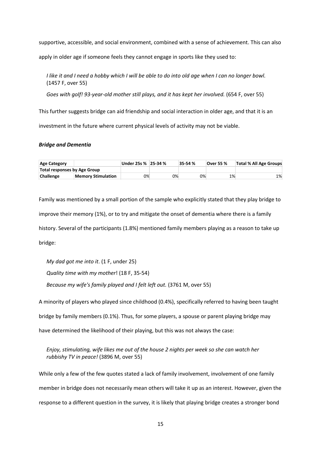supportive, accessible, and social environment, combined with a sense of achievement. This can also

apply in older age if someone feels they cannot engage in sports like they used to:

*I like it and I need a hobby which I will be able to do into old age when I can no longer bowl.*  (1457 F, over 55)

*Goes with golf! 93-year-old mother still plays, and it has kept her involved.* (654 F, over 55)

This further suggests bridge can aid friendship and social interaction in older age, and that it is an investment in the future where current physical levels of activity may not be viable.

#### *Bridge and Dementia*

| Age Category                 |                           | Under 25s % 25-34 % |    | 35-54% | <b>Over 55 %</b> | Total % All Age Groups |
|------------------------------|---------------------------|---------------------|----|--------|------------------|------------------------|
| Total responses by Age Group |                           |                     |    |        |                  |                        |
| <b>Challenge</b>             | <b>Memory Stimulation</b> | 0%                  | 0% | 0%     | 1%               | 1%                     |

Family was mentioned by a small portion of the sample who explicitly stated that they play bridge to improve their memory (1%), or to try and mitigate the onset of dementia where there is a family history. Several of the participants (1.8%) mentioned family members playing as a reason to take up bridge:

*My dad got me into it*. (1 F, under 25)

*Quality time with my mother*! (18 F, 35-54)

*Because my wife's family played and I felt left out.* (3761 M, over 55)

A minority of players who played since childhood (0.4%), specifically referred to having been taught

bridge by family members (0.1%). Thus, for some players, a spouse or parent playing bridge may

have determined the likelihood of their playing, but this was not always the case:

*Enjoy, stimulating, wife likes me out of the house 2 nights per week so she can watch her rubbishy TV in peace!* (3896 M, over 55)

While only a few of the few quotes stated a lack of family involvement, involvement of one family member in bridge does not necessarily mean others will take it up as an interest. However, given the response to a different question in the survey, it is likely that playing bridge creates a stronger bond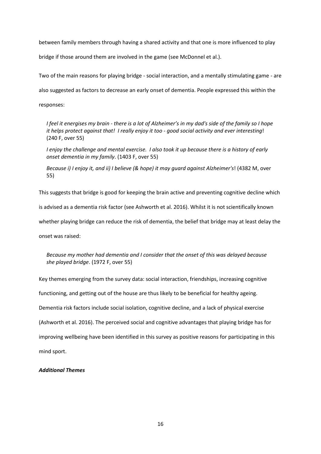between family members through having a shared activity and that one is more influenced to play

bridge if those around them are involved in the game (see McDonnel et al.).

Two of the main reasons for playing bridge - social interaction, and a mentally stimulating game - are

also suggested as factors to decrease an early onset of dementia. People expressed this within the

responses:

*I feel it energises my brain - there is a lot of Alzheimer's in my dad's side of the family so I hope it helps protect against that! I really enjoy it too - good social activity and ever interesting*! (240 F, over 55)

*I enjoy the challenge and mental exercise. I also took it up because there is a history of early onset dementia in my family*. (1403 F, over 55)

*Because i) I enjoy it, and ii) I believe (& hope) it may guard against Alzheimer's*! (4382 M, over 55)

This suggests that bridge is good for keeping the brain active and preventing cognitive decline which is advised as a dementia risk factor (see Ashworth et al. 2016). Whilst it is not scientifically known

whether playing bridge can reduce the risk of dementia, the belief that bridge may at least delay the

onset was raised:

*Because my mother had dementia and I consider that the onset of this was delayed because she played bridge*. (1972 F, over 55)

Key themes emerging from the survey data: social interaction, friendships, increasing cognitive functioning, and getting out of the house are thus likely to be beneficial for healthy ageing. Dementia risk factors include social isolation, cognitive decline, and a lack of physical exercise (Ashworth et al. 2016). The perceived social and cognitive advantages that playing bridge has for improving wellbeing have been identified in this survey as positive reasons for participating in this mind sport.

### *Additional Themes*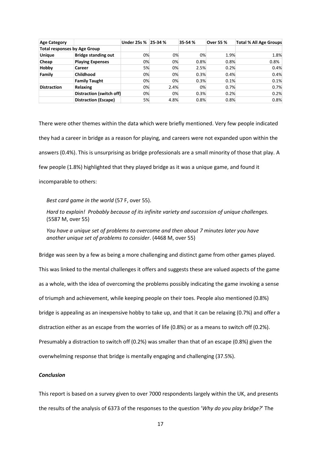| <b>Age Category</b>                 |                             | Under 25s % 25-34 % |      | 35-54% | <b>Over 55 %</b> | <b>Total % All Age Groups</b> |
|-------------------------------------|-----------------------------|---------------------|------|--------|------------------|-------------------------------|
| <b>Total responses by Age Group</b> |                             |                     |      |        |                  |                               |
| <b>Unique</b>                       | <b>Bridge standing out</b>  | 0%                  | 0%   | 0%     | 1.9%             | 1.8%                          |
| Cheap                               | <b>Playing Expenses</b>     | 0%                  | 0%   | 0.8%   | 0.8%             | 0.8%                          |
| Hobby                               | <b>Career</b>               | 5%                  | 0%   | 2.5%   | 0.2%             | 0.4%                          |
| Family                              | <b>Childhood</b>            | 0%                  | 0%   | 0.3%   | 0.4%             | 0.4%                          |
|                                     | <b>Family Taught</b>        | 0%                  | 0%   | 0.3%   | 0.1%             | 0.1%                          |
| <b>Distraction</b>                  | Relaxing                    | 0%                  | 2.4% | 0%     | 0.7%             | 0.7%                          |
|                                     | Distraction (switch off)    | 0%                  | 0%   | 0.3%   | 0.2%             | 0.2%                          |
|                                     | <b>Distraction (Escape)</b> | 5%                  | 4.8% | 0.8%   | 0.8%             | 0.8%                          |

There were other themes within the data which were briefly mentioned. Very few people indicated they had a career in bridge as a reason for playing, and careers were not expanded upon within the answers (0.4%). This is unsurprising as bridge professionals are a small minority of those that play. A few people (1.8%) highlighted that they played bridge as it was a unique game, and found it incomparable to others:

*Best card game in the world* (57 F, over 55).

*Hard to explain! Probably because of its infinite variety and succession of unique challenges.* (5587 M, over 55)

*You have a unique set of problems to overcome and then about 7 minutes later you have another unique set of problems to consider*. (4468 M, over 55)

Bridge was seen by a few as being a more challenging and distinct game from other games played.

This was linked to the mental challenges it offers and suggests these are valued aspects of the game as a whole, with the idea of overcoming the problems possibly indicating the game invoking a sense of triumph and achievement, while keeping people on their toes. People also mentioned (0.8%) bridge is appealing as an inexpensive hobby to take up, and that it can be relaxing (0.7%) and offer a distraction either as an escape from the worries of life (0.8%) or as a means to switch off (0.2%). Presumably a distraction to switch off (0.2%) was smaller than that of an escape (0.8%) given the overwhelming response that bridge is mentally engaging and challenging (37.5%).

### *Conclusion*

This report is based on a survey given to over 7000 respondents largely within the UK, and presents the results of the analysis of 6373 of the responses to the question '*Why do you play bridge?*' The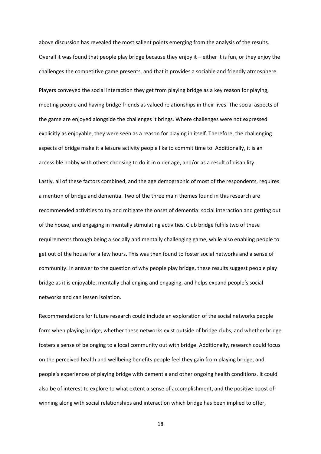above discussion has revealed the most salient points emerging from the analysis of the results. Overall it was found that people play bridge because they enjoy it – either it is fun, or they enjoy the challenges the competitive game presents, and that it provides a sociable and friendly atmosphere.

Players conveyed the social interaction they get from playing bridge as a key reason for playing, meeting people and having bridge friends as valued relationships in their lives. The social aspects of the game are enjoyed alongside the challenges it brings. Where challenges were not expressed explicitly as enjoyable, they were seen as a reason for playing in itself. Therefore, the challenging aspects of bridge make it a leisure activity people like to commit time to. Additionally, it is an accessible hobby with others choosing to do it in older age, and/or as a result of disability.

Lastly, all of these factors combined, and the age demographic of most of the respondents, requires a mention of bridge and dementia. Two of the three main themes found in this research are recommended activities to try and mitigate the onset of dementia: social interaction and getting out of the house, and engaging in mentally stimulating activities. Club bridge fulfils two of these requirements through being a socially and mentally challenging game, while also enabling people to get out of the house for a few hours. This was then found to foster social networks and a sense of community. In answer to the question of why people play bridge, these results suggest people play bridge as it is enjoyable, mentally challenging and engaging, and helps expand people's social networks and can lessen isolation.

Recommendations for future research could include an exploration of the social networks people form when playing bridge, whether these networks exist outside of bridge clubs, and whether bridge fosters a sense of belonging to a local community out with bridge. Additionally, research could focus on the perceived health and wellbeing benefits people feel they gain from playing bridge, and people's experiences of playing bridge with dementia and other ongoing health conditions. It could also be of interest to explore to what extent a sense of accomplishment, and the positive boost of winning along with social relationships and interaction which bridge has been implied to offer,

18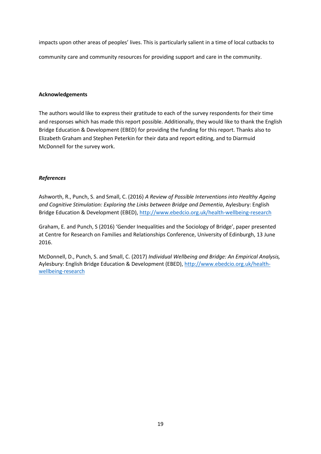impacts upon other areas of peoples' lives. This is particularly salient in a time of local cutbacks to community care and community resources for providing support and care in the community.

### **Acknowledgements**

The authors would like to express their gratitude to each of the survey respondents for their time and responses which has made this report possible. Additionally, they would like to thank the English Bridge Education & Development (EBED) for providing the funding for this report. Thanks also to Elizabeth Graham and Stephen Peterkin for their data and report editing, and to Diarmuid McDonnell for the survey work.

## *References*

Ashworth, R., Punch, S. and Small, C. (2016) *A Review of Possible Interventions into Healthy Ageing and Cognitive Stimulation: Exploring the Links between Bridge and Dementia*, Aylesbury: English Bridge Education & Development (EBED),<http://www.ebedcio.org.uk/health-wellbeing-research>

Graham, E. and Punch, S (2016) 'Gender Inequalities and the Sociology of Bridge', paper presented at Centre for Research on Families and Relationships Conference, University of Edinburgh, 13 June 2016.

McDonnell, D., Punch, S. and Small, C. (2017) *Individual Wellbeing and Bridge: An Empirical Analysis,*  Aylesbury: English Bridge Education & Development (EBED), [http://www.ebedcio.org.uk/health](http://www.ebedcio.org.uk/health-wellbeing-research)[wellbeing-research](http://www.ebedcio.org.uk/health-wellbeing-research)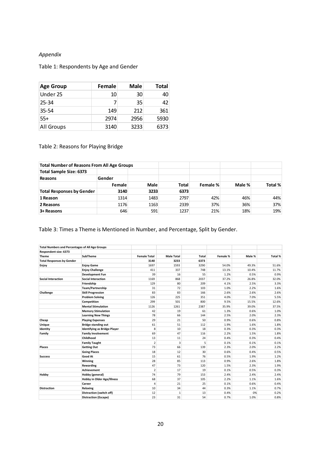# *Appendix*

# Table 1: Respondents by Age and Gender

| <b>Age Group</b> | Female | Male | <b>Total</b> |
|------------------|--------|------|--------------|
| Under 25         | 10     | 30   | 40           |
| $25 - 34$        |        | 35   | 42           |
| $35 - 54$        | 149    | 212  | 361          |
| $55+$            | 2974   | 2956 | 5930         |
| All Groups       | 3140   | 3233 | 6373         |

# Table 2: Reasons for Playing Bridge

| <b>Total Number of Reasons From All Age Groups</b> |        |             |              |          |        |         |
|----------------------------------------------------|--------|-------------|--------------|----------|--------|---------|
| <b>Total Sample Size: 6373</b>                     |        |             |              |          |        |         |
| Reasons                                            | Gender |             |              |          |        |         |
|                                                    | Female | <b>Male</b> | <b>Total</b> | Female % | Male % | Total % |
| <b>Total Responses by Gender</b>                   | 3140   | 3233        | 6373         |          |        |         |
| 1 Reason                                           | 1314   | 1483        | 2797         | 42%      | 46%    | 44%     |
| 2 Reasons                                          | 1176   | 1163        | 2339         | 37%      | 36%    | 37%     |
| 3+ Reasons                                         | 646    | 591         | 1237         | 21%      | 18%    | 19%     |

# Table 3: Times a Theme is Mentioned in Number, and Percentage, Split by Gender.

| <b>Total Numbers and Percentages of All Age Groups</b> |                                     |                     |                   |       |          |        |         |
|--------------------------------------------------------|-------------------------------------|---------------------|-------------------|-------|----------|--------|---------|
| Respondent size: 6373                                  |                                     |                     |                   |       |          |        |         |
| <b>Theme</b>                                           | <b>SubTheme</b>                     | <b>Female Total</b> | <b>Male Total</b> | Total | Female % | Male % | Total % |
| <b>Total Responses by Gender</b>                       |                                     | 3140                | 3233              | 6373  |          |        |         |
| Enjoy                                                  | <b>Enjoy Game</b>                   | 1697                | 1593              | 3290  | 54.0%    | 49.3%  | 51.6%   |
|                                                        | <b>Enjoy Challenge</b>              | 411                 | 337               | 748   | 13.1%    | 10.4%  | 11.7%   |
|                                                        | <b>Development Fun</b>              | 39                  | 16                | 55    | 1.2%     | 0.5%   | 0.9%    |
| <b>Social Interaction</b>                              | <b>Social Interaction</b>           | 1169                | 868               | 2037  | 37.2%    | 26.8%  | 32.0%   |
|                                                        | Friendship                          | 129                 | 80                | 209   | 4.1%     | 2.5%   | 3.3%    |
|                                                        | Team/Partnership                    | 31                  | 72                | 103   | 1.0%     | 2.2%   | 1.6%    |
| Challenge                                              | <b>Skill Progression</b>            | 83                  | 83                | 166   | 2.6%     | 2.6%   | 2.6%    |
|                                                        | <b>Problem Solving</b>              | 126                 | 225               | 351   | 4.0%     | 7.0%   | 5.5%    |
|                                                        | Competition                         | 299                 | 501               | 800   | 9.5%     | 15.5%  | 12.6%   |
|                                                        | <b>Mental Stimulation</b>           | 1126                | 1261              | 2387  | 35.9%    | 39.0%  | 37.5%   |
|                                                        | <b>Memory Stimulation</b>           | 42                  | 19                | 61    | 1.3%     | 0.6%   | 1.0%    |
|                                                        | <b>Learning New Things</b>          | 78                  | 66                | 144   | 2.5%     | 2.0%   | 2.3%    |
| Cheap                                                  | <b>Playing Expenses</b>             | 29                  | 21                | 50    | 0.9%     | 0.6%   | 0.8%    |
| Unique                                                 | <b>Bridge standing out</b>          | 61                  | 51                | 112   | 1.9%     | 1.6%   | 1.8%    |
| Identity                                               | <b>Identifying as Bridge Player</b> | 8                   | 10                | 18    | 0.3%     | 0.3%   | 0.3%    |
| Family                                                 | <b>Family Involvement</b>           | 69                  | 47                | 116   | 2.2%     | 1.5%   | 1.8%    |
|                                                        | Childhood                           | 13                  | 11                | 24    | 0.4%     | 0.3%   | 0.4%    |
|                                                        | <b>Family Taught</b>                | $\overline{2}$      | 3                 | 5     | 0.1%     | 0.1%   | 0.1%    |
| <b>Places</b>                                          | <b>Getting Out</b>                  | 73                  | 66                | 139   | 2.3%     | 2.0%   | 2.2%    |
|                                                        | <b>Going Places</b>                 | 18                  | 12                | 30    | 0.6%     | 0.4%   | 0.5%    |
| <b>Success</b>                                         | Good At                             | 15                  | 61                | 76    | 0.5%     | 1.9%   | 1.2%    |
|                                                        | Winning                             | 28                  | 85                | 113   | 0.9%     | 2.6%   | 1.8%    |
|                                                        | Rewarding                           | 47                  | 73                | 120   | 1.5%     | 2.3%   | 1.9%    |
|                                                        | <b>Achievement</b>                  | $\overline{2}$      | 17                | 19    | 0.1%     | 0.5%   | 0.3%    |
| Hobby                                                  | Hobby (general)                     | 74                  | 79                | 153   | 2.4%     | 2.4%   | 2.4%    |
|                                                        | <b>Hobby in Older Age/Illness</b>   | 68                  | 37                | 105   | 2.2%     | 1.1%   | 1.6%    |
|                                                        | Career                              | 4                   | 21                | 25    | 0.1%     | 0.6%   | 0.4%    |
| <b>Distraction</b>                                     | Relaxing                            | 10                  | 34                | 44    | 0.3%     | 1.1%   | 0.7%    |
|                                                        | Distraction (switch off)            | 12                  | $\mathbf{1}$      | 13    | 0.4%     | 0%     | 0.2%    |
|                                                        | <b>Distraction (Escape)</b>         | 23                  | 31                | 54    | 0.7%     | 1.0%   | 0.8%    |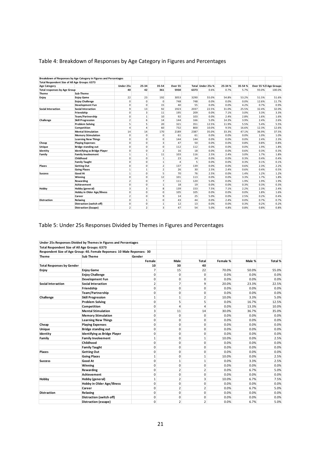|                                     | Breakdown of Responses by Age Category in Figures and Percentages |                |                |                  |         |      |                   |        |        |                         |        |
|-------------------------------------|-------------------------------------------------------------------|----------------|----------------|------------------|---------|------|-------------------|--------|--------|-------------------------|--------|
|                                     | Total Respondent Size of All Age Groups: 6373                     |                |                |                  |         |      |                   |        |        |                         |        |
| <b>Age Category</b>                 |                                                                   | Under 25s      | 25-34          | 35-54            | Over 55 |      | Total Under 25s % | 25-34% | 35-54% | Over 55 % II Age Groups |        |
| <b>Total responses by Age Group</b> |                                                                   | 40             | 42             | 361              | 5930    | 6373 | 0.6%              | 0.7%   | 5.7%   | 93.0%                   | 100.0% |
| Theme                               | Sub-Theme                                                         |                |                |                  |         |      |                   |        |        |                         |        |
| Enjoy                               | <b>Enjoy Game</b>                                                 | 22             | 23             | 192              | 3053    | 3290 | 55.0%             | 54.8%  | 53.2%  | 51.5%                   | 51.6%  |
|                                     | <b>Enjoy Challenge</b>                                            | $\Omega$       | $\Omega$       | $\Omega$         | 748     | 748  | 0.0%              | 0.0%   | 0.0%   | 12.6%                   | 11.7%  |
|                                     | <b>Development Fun</b>                                            | 0              | $\Omega$       | 15               | 40      | 55   | 0.0%              | 0.0%   | 4.2%   | 0.7%                    | 0.9%   |
| Social Interaction                  | <b>Social Interaction</b>                                         | 9              | 13             | 92               | 1923    | 2037 | 22.5%             | 31.0%  | 25.5%  | 32.4%                   | 32.0%  |
|                                     | Friendship                                                        | $\Omega$       | $\overline{3}$ | 11               | 195     | 209  | 0.0%              | 7.1%   | 3.0%   | 3.3%                    | 3.3%   |
|                                     | Team/Partnership                                                  | 0              | $\mathbf{1}$   | 10               | 92      | 103  | 0.0%              | 2.4%   | 2.8%   | 1.6%                    | 1.6%   |
| Challenge                           | <b>Skill Progression</b>                                          | $\overline{2}$ | 6              | 14               | 144     | 166  | 5.0%              | 14.3%  | 3.9%   | 2.4%                    | 2.6%   |
|                                     | <b>Problem Solving</b>                                            | 5              | 5              | 20               | 321     | 351  | 12.5%             | 11.9%  | 5.5%   | 5.4%                    | 5.5%   |
|                                     | Competition                                                       | 4              | 4              | 60               | 732     | 800  | 10.0%             | 9.5%   | 16.6%  | 12.3%                   | 12.6%  |
|                                     | <b>Mental Stimulation</b>                                         | 14             | 14             | 170              | 2189    | 2387 | 35.0%             | 33.3%  | 47.1%  | 36.9%                   | 37.5%  |
|                                     | <b>Memory Stimulation</b>                                         | 0              | $\Omega$       | $\mathbf 0$      | 61      | 61   | 0.0%              | 0.0%   | 0.0%   | 1.0%                    | 1.0%   |
|                                     | <b>Learning New Things</b>                                        | $\Omega$       | $\Omega$       | $\mathbf 0$      | 144     | 144  | 0.0%              | 0.0%   | 0.0%   | 2.4%                    | 2.3%   |
| Cheap                               | <b>Playing Expenses</b>                                           | 0              | $\mathbf 0$    | 3                | 47      | 50   | 0.0%              | 0.0%   | 0.8%   | 0.8%                    | 0.8%   |
| <b>Unique</b>                       | <b>Bridge standing out</b>                                        | 0              | 0              | $\mathbf 0$      | 112     | 112  | 0.0%              | 0.0%   | 0.0%   | 1.9%                    | 1.8%   |
| Identity                            | <b>Identifying as Bridge Player</b>                               | 0              | 0              | $\overline{2}$   | 16      | 18   | 0.0%              | 0.0%   | 0.6%   | 0.3%                    | 0.3%   |
| Family                              | <b>Family Involvement</b>                                         | $\mathbf{1}$   | $\mathbf{1}$   | 11               | 103     | 116  | 2.5%              | 2.4%   | 3.0%   | 1.7%                    | 1.8%   |
|                                     | Childhood                                                         | 0              | $\Omega$       | $\mathbf{1}$     | 23      | 24   | 0.0%              | 0.0%   | 0.3%   | 0.4%                    | 0.4%   |
|                                     | <b>Family Taught</b>                                              | 0              | $\Omega$       | $\mathbf{1}$     | 4       | 5    | 0.0%              | 0.0%   | 0.3%   | 0.1%                    | 0.1%   |
| Places                              | <b>Getting Out</b>                                                | 0              | $\Omega$       | $2 \overline{ }$ | 137     | 139  | 0.0%              | 0.0%   | 0.6%   | 2.3%                    | 2.2%   |
|                                     | <b>Going Places</b>                                               | $\mathbf{1}$   | $\mathbf{1}$   | 2 <sup>1</sup>   | 26      | 30   | 2.5%              | 2.4%   | 0.6%   | 0.4%                    | 0.5%   |
| <b>Success</b>                      | Good At                                                           | $\mathbf{1}$   | $\Omega$       | 5                | 70      | 76   | 2.5%              | 0.0%   | 1.4%   | 1.2%                    | 1.2%   |
|                                     | Winning                                                           | 0              | $\mathbf 0$    | 12               | 101     | 113  | 0.0%              | 0.0%   | 3.3%   | 1.7%                    | 1.8%   |
|                                     | Rewarding                                                         | $\overline{2}$ | 0              | 7                | 111     | 120  | 5.0%              | 0.0%   | 1.9%   | 1.9%                    | 1.9%   |
|                                     | Achievement                                                       | $\mathbf{0}$   | 0              | $\mathbf{1}$     | 18      | 19   | 0.0%              | 0.0%   | 0.3%   | 0.3%                    | 0.3%   |
| Hobby                               | Hobby (general)                                                   | 3              | 3              | 8                | 139     | 153  | 7.5%              | 7.1%   | 2.2%   | 2.3%                    | 2.4%   |
|                                     | <b>Hobby in Older Age/Illness</b>                                 | 0              | $\Omega$       | $\Omega$         | 105     | 105  | 0.0%              | 0.0%   | 0.0%   | 1.8%                    | 1.6%   |
|                                     | Career                                                            | 2              | $\Omega$       | 9                | 14      | 25   | 5.0%              | 0.0%   | 2.5%   | 0.2%                    | 0.4%   |
| <b>Distraction</b>                  | Relaxing                                                          | 0              | $\mathbf{1}$   | 0                | 43      | 44   | 0.0%              | 2.4%   | 0.0%   | 0.7%                    | 0.7%   |
|                                     | Distraction (switch off)                                          | 0              | 0              | 1                | 12      | 13   | 0.0%              | 0.0%   | 0.3%   | 0.2%                    | 0.2%   |
|                                     | <b>Distraction (Escape)</b>                                       | $\overline{2}$ | $\overline{2}$ | $\overline{3}$   | 47      | 54   | 5.0%              | 4.8%   | 0.8%   | 0.8%                    | 0.8%   |

# Table 4: Breakdown of Responses by Age Category in Figures and Percentages

# Table 5: Under 25s Responses Divided by Themes in Figures and Percentages

|                                               | Under 25s Responses Divided by Themes in Figures and Percentages        |                |                |                |          |        |         |
|-----------------------------------------------|-------------------------------------------------------------------------|----------------|----------------|----------------|----------|--------|---------|
| Total Respondent Size of All Age Groups: 6373 |                                                                         |                |                |                |          |        |         |
|                                               | Respondent Size of Age Group: 40. Female Reponses: 10 Male Reponses: 30 |                |                |                |          |        |         |
| Theme                                         | <b>Sub Theme</b>                                                        | Gender         |                |                |          |        |         |
|                                               |                                                                         | Female         | Male           | <b>Total</b>   | Female % | Male % | Total % |
| <b>Total Responses by Gender</b>              |                                                                         | 10             | 30             | 40             |          |        |         |
| Enjoy                                         | <b>Enjoy Game</b>                                                       | 7              | 15             | 22             | 70.0%    | 50.0%  | 55.0%   |
|                                               | <b>Enjoy Challenge</b>                                                  | 0              | 0              | $\Omega$       | 0.0%     | 0.0%   | 0.0%    |
|                                               | Development Fun                                                         | 0              | 0              | 0              | 0.0%     | 0.0%   | 0.0%    |
| <b>Social Interaction</b>                     | <b>Social Interaction</b>                                               | $\overline{2}$ | 7              | 9              | 20.0%    | 23.3%  | 22.5%   |
|                                               | Friendship                                                              | 0              | 0              | 0              | 0.0%     | 0.0%   | 0.0%    |
|                                               | Team/Partnership                                                        | 0              | 0              | 0              | 0.0%     | 0.0%   | 0.0%    |
| Challenge                                     | <b>Skill Progression</b>                                                | 1              | 1              | 2              | 10.0%    | 3.3%   | 5.0%    |
|                                               | <b>Problem Solving</b>                                                  | $\mathbf 0$    | 5              | 5              | 0.0%     | 16.7%  | 12.5%   |
|                                               | Competition                                                             | $\mathbf 0$    | 4              | 4              | 0.0%     | 13.3%  | 10.0%   |
|                                               | <b>Mental Stimulation</b>                                               | 3              | 11             | 14             | 30.0%    | 36.7%  | 35.0%   |
|                                               | <b>Memory Stimulation</b>                                               | 0              | 0              | $\mathbf 0$    | 0.0%     | 0.0%   | 0.0%    |
|                                               | <b>Learning New Things</b>                                              | $\mathbf 0$    | 0              | 0              | 0.0%     | 0.0%   | 0.0%    |
| Cheap                                         | <b>Playing Expenses</b>                                                 | $\mathbf 0$    | 0              | 0              | 0.0%     | 0.0%   | 0.0%    |
| Unique                                        | <b>Bridge standing out</b>                                              | $\mathbf 0$    | 0              | $\mathbf 0$    | 0.0%     | 0.0%   | 0.0%    |
| Identity                                      | Identifying as Bridge Player                                            | 0              | 0              | $\mathbf 0$    | 0.0%     | 0.0%   | 0.0%    |
| Family                                        | <b>Family Involvement</b>                                               | $\mathbf{1}$   | 0              | $\mathbf{1}$   | 10.0%    | 0.0%   | 2.5%    |
|                                               | Childhood                                                               | 0              | $\Omega$       | $\Omega$       | 0.0%     | 0.0%   | 0.0%    |
|                                               | <b>Family Taught</b>                                                    | 0              | 0              | $\mathbf 0$    | 0.0%     | 0.0%   | 0.0%    |
| Places                                        | <b>Getting Out</b>                                                      | 0              | 0              | $\mathbf 0$    | 0.0%     | 0.0%   | 0.0%    |
|                                               | <b>Going Places</b>                                                     | $\mathbf{1}$   | 0              | $\mathbf{1}$   | 10.0%    | 0.0%   | 2.5%    |
| <b>Success</b>                                | Good At                                                                 | $\mathbf 0$    | 1              | $\mathbf{1}$   | 0.0%     | 3.3%   | 2.5%    |
|                                               | Winning                                                                 | $\mathbf 0$    | 0              | $\mathbf 0$    | 0.0%     | 0.0%   | 0.0%    |
|                                               | Rewarding                                                               | $\mathbf 0$    | $\overline{2}$ | $\overline{2}$ | 0.0%     | 6.7%   | 5.0%    |
|                                               | Achievement                                                             | $\mathbf 0$    | 0              | 0              | 0.0%     | 0.0%   | 0.0%    |
| Hobby                                         | Hobby (general)                                                         | $\mathbf{1}$   | $\overline{2}$ | 3              | 10.0%    | 6.7%   | 7.5%    |
|                                               | Hobby in Older Age/Illness                                              | 0              | 0              | 0              | 0.0%     | 0.0%   | 0.0%    |
|                                               | Career                                                                  | 0              | $\overline{2}$ | $\overline{2}$ | 0.0%     | 6.7%   | 5.0%    |
| <b>Distraction</b>                            | Relaxing                                                                | 0              | 0              | $\mathbf 0$    | 0.0%     | 0.0%   | 0.0%    |
|                                               | Distraction (switch off)                                                | 0              | 0              | 0              | 0.0%     | 0.0%   | 0.0%    |
|                                               | Distraction (escape)                                                    | $\mathbf 0$    | $\overline{2}$ | $\overline{2}$ | 0.0%     | 6.7%   | 5.0%    |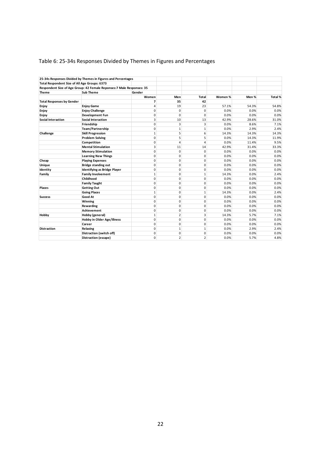# Table 6: 25-34s Responses Divided by Themes in Figures and Percentages

|                                               | 25-34s Responses Divided by Themes in Figures and Percentages          |              |                |                |         |       |         |
|-----------------------------------------------|------------------------------------------------------------------------|--------------|----------------|----------------|---------|-------|---------|
| Total Respondent Size of All Age Groups: 6373 |                                                                        |              |                |                |         |       |         |
|                                               | Respondent Size of Age Group: 42 Female Reponses: 7 Male Responses: 35 |              |                |                |         |       |         |
| <b>Theme</b>                                  | Sub Theme                                                              | Gender       |                |                |         |       |         |
|                                               |                                                                        | Women        | Men            | <b>Total</b>   | Women % | Men % | Total % |
| <b>Total Responses by Gender</b>              |                                                                        | 7            | 35             | 42             |         |       |         |
| Enjoy                                         | <b>Enjoy Game</b>                                                      | 4            | 19             | 23             | 57.1%   | 54.3% | 54.8%   |
| Enjoy                                         | <b>Enjoy Challenge</b>                                                 | 0            | 0              | 0              | 0.0%    | 0.0%  | 0.0%    |
| Enjoy                                         | Development Fun                                                        | 0            | 0              | 0              | 0.0%    | 0.0%  | 0.0%    |
| <b>Social Interaction</b>                     | <b>Social Interaction</b>                                              | 3            | 10             | 13             | 42.9%   | 28.6% | 31.0%   |
|                                               | Friendship                                                             | 0            | 3              | 3              | 0.0%    | 8.6%  | 7.1%    |
|                                               | Team/Partnership                                                       | 0            | 1              | $\mathbf{1}$   | 0.0%    | 2.9%  | 2.4%    |
| Challenge                                     | <b>Skill Progression</b>                                               | $\mathbf{1}$ | 5              | 6              | 14.3%   | 14.3% | 14.3%   |
|                                               | <b>Problem Solving</b>                                                 | 0            | 5              | 5              | 0.0%    | 14.3% | 11.9%   |
|                                               | Competition                                                            | 0            | 4              | 4              | 0.0%    | 11.4% | 9.5%    |
|                                               | <b>Mental Stimulation</b>                                              | 3            | 11             | 14             | 42.9%   | 31.4% | 33.3%   |
|                                               | <b>Memory Stimulation</b>                                              | 0            | $\overline{0}$ | 0              | 0.0%    | 0.0%  | 0.0%    |
|                                               | <b>Learning New Things</b>                                             | 0            | $\overline{0}$ | 0              | 0.0%    | 0.0%  | 0.0%    |
| Cheap                                         | <b>Playing Expenses</b>                                                | $\mathbf 0$  | 0              | 0              | 0.0%    | 0.0%  | 0.0%    |
| Unique                                        | <b>Bridge standing out</b>                                             | 0            | 0              | $\mathbf 0$    | 0.0%    | 0.0%  | 0.0%    |
| Identity                                      | Identifying as Bridge Player                                           | $\mathbf 0$  | 0              | 0              | 0.0%    | 0.0%  | 0.0%    |
| Family                                        | <b>Family Involvement</b>                                              | $\mathbf{1}$ | 0              | $\mathbf 1$    | 14.3%   | 0.0%  | 2.4%    |
|                                               | Childhood                                                              | 0            | 0              | 0              | 0.0%    | 0.0%  | 0.0%    |
|                                               | <b>Family Taught</b>                                                   | 0            | $\overline{0}$ | 0              | 0.0%    | 0.0%  | 0.0%    |
| <b>Places</b>                                 | <b>Getting Out</b>                                                     | 0            | $\overline{0}$ | 0              | 0.0%    | 0.0%  | 0.0%    |
|                                               | <b>Going Places</b>                                                    | $\mathbf{1}$ | $\overline{0}$ | $\mathbf{1}$   | 14.3%   | 0.0%  | 2.4%    |
| <b>Success</b>                                | Good At                                                                | 0            | 0              | 0              | 0.0%    | 0.0%  | 0.0%    |
|                                               | Winning                                                                | $\Omega$     | 0              | 0              | 0.0%    | 0.0%  | 0.0%    |
|                                               | Rewarding                                                              | $\Omega$     | 0              | 0              | 0.0%    | 0.0%  | 0.0%    |
|                                               | <b>Achievement</b>                                                     | 0            | 0              | 0              | 0.0%    | 0.0%  | 0.0%    |
| Hobby                                         | Hobby (general)                                                        | $\mathbf{1}$ | $\overline{2}$ | 3              | 14.3%   | 5.7%  | 7.1%    |
|                                               | <b>Hobby in Older Age/Illness</b>                                      | 0            | $\overline{0}$ | 0              | 0.0%    | 0.0%  | 0.0%    |
|                                               | Career                                                                 | 0            | 0              | 0              | 0.0%    | 0.0%  | 0.0%    |
| <b>Distraction</b>                            | Relaxing                                                               | 0            | $\mathbf{1}$   | $\mathbf{1}$   | 0.0%    | 2.9%  | 2.4%    |
|                                               | Distraction (switch off)                                               | 0            | 0              | 0              | 0.0%    | 0.0%  | 0.0%    |
|                                               | Distraction (escape)                                                   | $\mathbf 0$  | 2              | $\overline{2}$ | 0.0%    | 5.7%  | 4.8%    |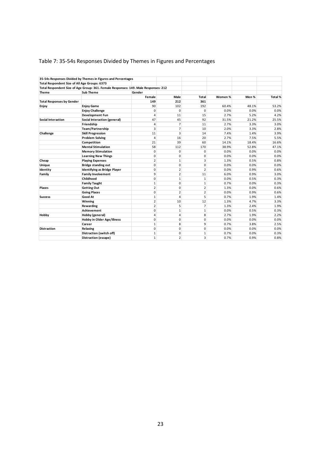# Table 7: 35-54s Responses Divided by Themes in Figures and Percentages

|                                               | 35-54s Responses Divided by Themes in Figures and Percentages                       |                |                |                |         |       |         |
|-----------------------------------------------|-------------------------------------------------------------------------------------|----------------|----------------|----------------|---------|-------|---------|
| Total Respondent Size of All Age Groups: 6373 |                                                                                     |                |                |                |         |       |         |
|                                               | Total Respondent Size of Age Group: 361. Female Responses: 149. Male Responses: 212 |                |                |                |         |       |         |
| <b>Theme</b>                                  | <b>Sub Theme</b>                                                                    | Gender         |                |                |         |       |         |
|                                               |                                                                                     | Female         | Male           | Total          | Women % | Men % | Total % |
| <b>Total Responses by Gender</b>              |                                                                                     | 149            | 212            | 361            |         |       |         |
| Enjoy                                         | <b>Enjoy Game</b>                                                                   | 90             | 102            | 192            | 60.4%   | 48.1% | 53.2%   |
|                                               | <b>Enjoy Challenge</b>                                                              | 0              | 0              | 0              | 0.0%    | 0.0%  | 0.0%    |
|                                               | Development Fun                                                                     | 4              | 11             | 15             | 2.7%    | 5.2%  | 4.2%    |
| <b>Social Interaction</b>                     | Social Interaction (general)                                                        | 47             | 45             | 92             | 31.5%   | 21.2% | 25.5%   |
|                                               | Friendship                                                                          | 4              | $\overline{7}$ | 11             | 2.7%    | 3.3%  | 3.0%    |
|                                               | Team/Partnership                                                                    | 3              | 7              | 10             | 2.0%    | 3.3%  | 2.8%    |
| Challenge                                     | <b>Skill Progression</b>                                                            | 11             | 3              | 14             | 7.4%    | 1.4%  | 3.9%    |
|                                               | <b>Problem Solving</b>                                                              | 4              | 16             | 20             | 2.7%    | 7.5%  | 5.5%    |
|                                               | Competition                                                                         | 21             | 39             | 60             | 14.1%   | 18.4% | 16.6%   |
|                                               | <b>Mental Stimulation</b>                                                           | 58             | 112            | 170            | 38.9%   | 52.8% | 47.1%   |
|                                               | <b>Memory Stimulation</b>                                                           | 0              | 0              | 0              | 0.0%    | 0.0%  | 0.0%    |
|                                               | <b>Learning New Things</b>                                                          | 0              | 0              | 0              | 0.0%    | 0.0%  | 0.0%    |
| Cheap                                         | <b>Playing Expenses</b>                                                             | 2              | 1              | 3              | 1.3%    | 0.5%  | 0.8%    |
| Unique                                        | <b>Bridge standing out</b>                                                          | 0              | 0              | 0              | 0.0%    | 0.0%  | 0.0%    |
| Identity                                      | Identifying as Bridge Player                                                        | 0              | $\overline{2}$ | $\overline{2}$ | 0.0%    | 0.9%  | 0.6%    |
| Family                                        | <b>Family Involvement</b>                                                           | 9              | $\overline{2}$ | 11             | 6.0%    | 0.9%  | 3.0%    |
|                                               | Childhood                                                                           | 0              | $\mathbf{1}$   | $\mathbf{1}$   | 0.0%    | 0.5%  | 0.3%    |
|                                               | <b>Family Taught</b>                                                                | $\mathbf{1}$   | $\overline{0}$ | $\mathbf{1}$   | 0.7%    | 0.0%  | 0.3%    |
| <b>Places</b>                                 | <b>Getting Out</b>                                                                  | 2              | 0              | $\overline{2}$ | 1.3%    | 0.0%  | 0.6%    |
|                                               | <b>Going Places</b>                                                                 | 0              | 2              | $\overline{2}$ | 0.0%    | 0.9%  | 0.6%    |
| <b>Success</b>                                | Good At                                                                             | $\mathbf{1}$   | 4              | 5              | 0.7%    | 1.9%  | 1.4%    |
|                                               | Winning                                                                             | 2              | 10             | 12             | 1.3%    | 4.7%  | 3.3%    |
|                                               | Rewarding                                                                           | $\overline{2}$ | 5              | $\overline{7}$ | 1.3%    | 2.4%  | 1.9%    |
|                                               | Achievement                                                                         | 0              | $\mathbf{1}$   | $\mathbf{1}$   | 0.0%    | 0.5%  | 0.3%    |
| Hobby                                         | Hobby (general)                                                                     | 4              | $\overline{4}$ | 8              | 2.7%    | 1.9%  | 2.2%    |
|                                               | Hobby in Older Age/Illness                                                          | 0              | 0              | 0              | 0.0%    | 0.0%  | 0.0%    |
|                                               | Career                                                                              | $\mathbf{1}$   | 8              | 9              | 0.7%    | 3.8%  | 2.5%    |
| <b>Distraction</b>                            | Relaxing                                                                            | 0              | 0              | 0              | 0.0%    | 0.0%  | 0.0%    |
|                                               | Distraction (switch off)                                                            | 1              | 0              | $\mathbf{1}$   | 0.7%    | 0.0%  | 0.3%    |
|                                               | Distraction (escape)                                                                | $\mathbf{1}$   | 2              | 3              | 0.7%    | 0.9%  | 0.8%    |